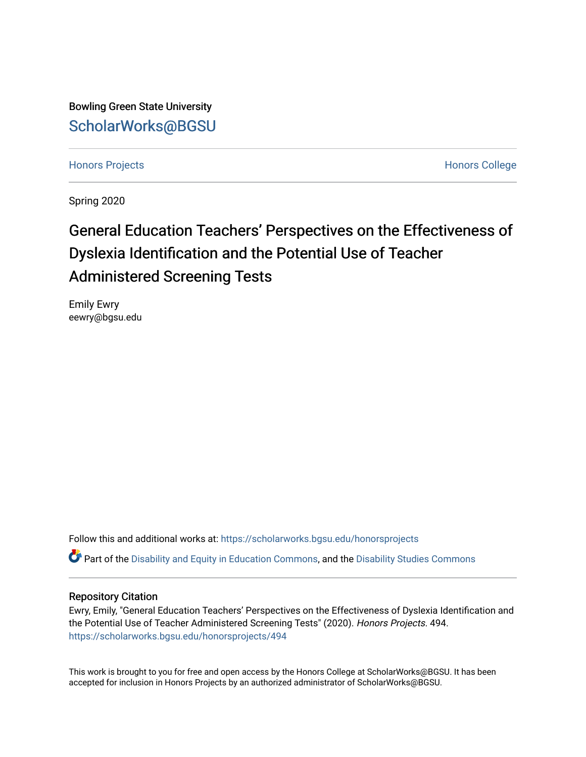Bowling Green State University [ScholarWorks@BGSU](https://scholarworks.bgsu.edu/) 

[Honors Projects](https://scholarworks.bgsu.edu/honorsprojects) **Honors** College

Spring 2020

# General Education Teachers' Perspectives on the Effectiveness of Dyslexia Identification and the Potential Use of Teacher Administered Screening Tests

Emily Ewry eewry@bgsu.edu

Follow this and additional works at: [https://scholarworks.bgsu.edu/honorsprojects](https://scholarworks.bgsu.edu/honorsprojects?utm_source=scholarworks.bgsu.edu%2Fhonorsprojects%2F494&utm_medium=PDF&utm_campaign=PDFCoverPages) 

Part of the [Disability and Equity in Education Commons](http://network.bepress.com/hgg/discipline/1040?utm_source=scholarworks.bgsu.edu%2Fhonorsprojects%2F494&utm_medium=PDF&utm_campaign=PDFCoverPages), and the [Disability Studies Commons](http://network.bepress.com/hgg/discipline/1417?utm_source=scholarworks.bgsu.edu%2Fhonorsprojects%2F494&utm_medium=PDF&utm_campaign=PDFCoverPages)

# Repository Citation

Ewry, Emily, "General Education Teachers' Perspectives on the Effectiveness of Dyslexia Identification and the Potential Use of Teacher Administered Screening Tests" (2020). Honors Projects. 494. [https://scholarworks.bgsu.edu/honorsprojects/494](https://scholarworks.bgsu.edu/honorsprojects/494?utm_source=scholarworks.bgsu.edu%2Fhonorsprojects%2F494&utm_medium=PDF&utm_campaign=PDFCoverPages) 

This work is brought to you for free and open access by the Honors College at ScholarWorks@BGSU. It has been accepted for inclusion in Honors Projects by an authorized administrator of ScholarWorks@BGSU.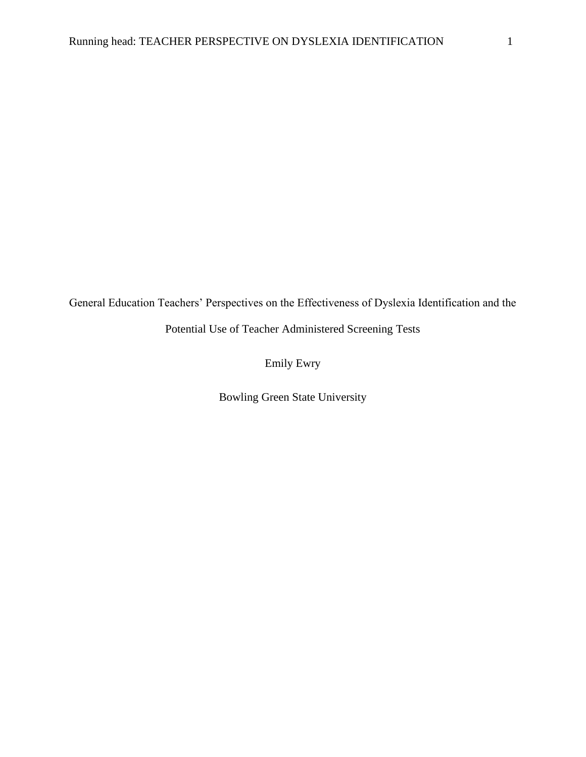General Education Teachers' Perspectives on the Effectiveness of Dyslexia Identification and the

Potential Use of Teacher Administered Screening Tests

Emily Ewry

Bowling Green State University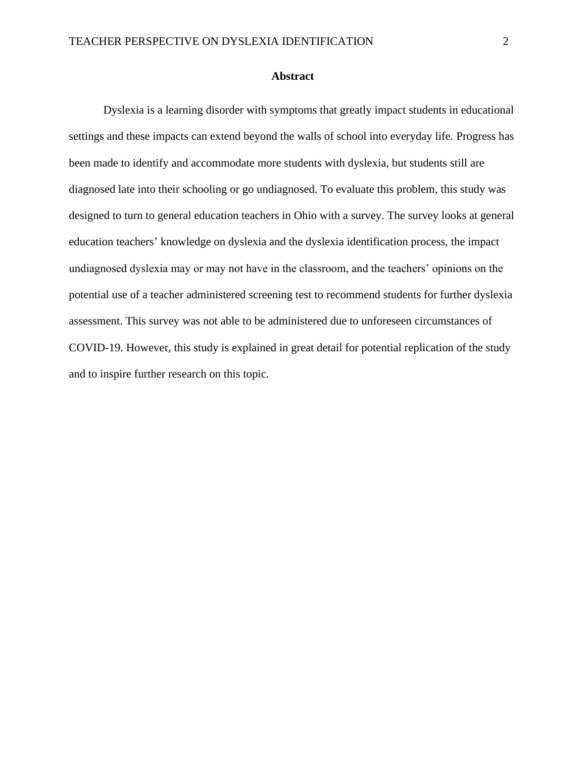### **Abstract**

Dyslexia is a learning disorder with symptoms that greatly impact students in educational settings and these impacts can extend beyond the walls of school into everyday life. Progress has been made to identify and accommodate more students with dyslexia, but students still are diagnosed late into their schooling or go undiagnosed. To evaluate this problem, this study was designed to turn to general education teachers in Ohio with a survey. The survey looks at general education teachers' knowledge on dyslexia and the dyslexia identification process, the impact undiagnosed dyslexia may or may not have in the classroom, and the teachers' opinions on the potential use of a teacher administered screening test to recommend students for further dyslexia assessment. This survey was not able to be administered due to unforeseen circumstances of COVID-19. However, this study is explained in great detail for potential replication of the study and to inspire further research on this topic.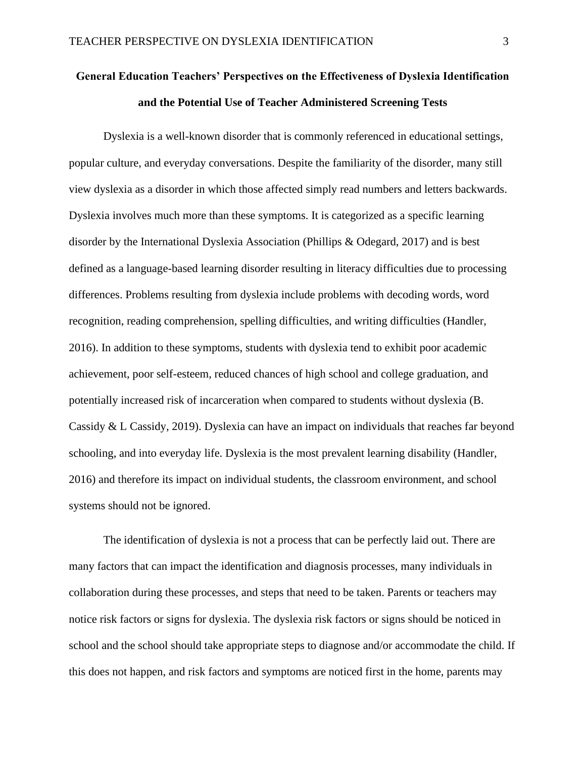# **General Education Teachers' Perspectives on the Effectiveness of Dyslexia Identification and the Potential Use of Teacher Administered Screening Tests**

Dyslexia is a well-known disorder that is commonly referenced in educational settings, popular culture, and everyday conversations. Despite the familiarity of the disorder, many still view dyslexia as a disorder in which those affected simply read numbers and letters backwards. Dyslexia involves much more than these symptoms. It is categorized as a specific learning disorder by the International Dyslexia Association (Phillips & Odegard, 2017) and is best defined as a language-based learning disorder resulting in literacy difficulties due to processing differences. Problems resulting from dyslexia include problems with decoding words, word recognition, reading comprehension, spelling difficulties, and writing difficulties (Handler, 2016). In addition to these symptoms, students with dyslexia tend to exhibit poor academic achievement, poor self-esteem, reduced chances of high school and college graduation, and potentially increased risk of incarceration when compared to students without dyslexia (B. Cassidy & L Cassidy, 2019). Dyslexia can have an impact on individuals that reaches far beyond schooling, and into everyday life. Dyslexia is the most prevalent learning disability (Handler, 2016) and therefore its impact on individual students, the classroom environment, and school systems should not be ignored.

The identification of dyslexia is not a process that can be perfectly laid out. There are many factors that can impact the identification and diagnosis processes, many individuals in collaboration during these processes, and steps that need to be taken. Parents or teachers may notice risk factors or signs for dyslexia. The dyslexia risk factors or signs should be noticed in school and the school should take appropriate steps to diagnose and/or accommodate the child. If this does not happen, and risk factors and symptoms are noticed first in the home, parents may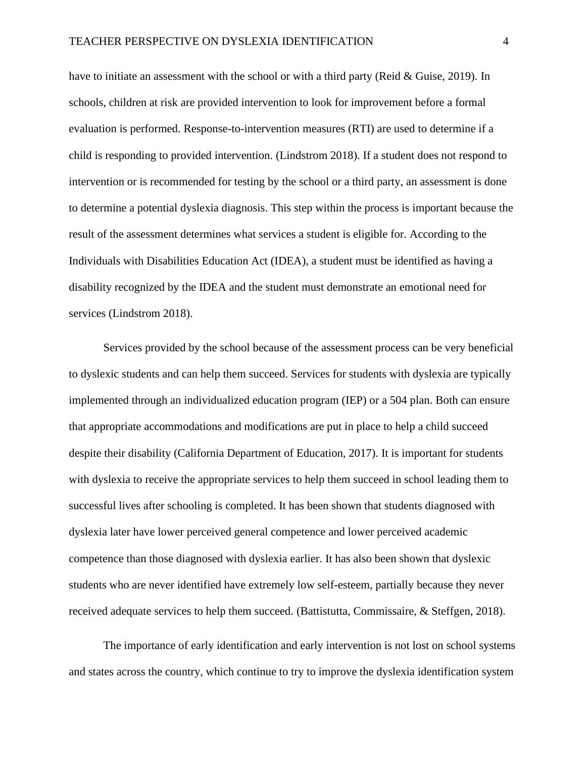have to initiate an assessment with the school or with a third party (Reid & Guise, 2019). In schools, children at risk are provided intervention to look for improvement before a formal evaluation is performed. Response-to-intervention measures (RTI) are used to determine if a child is responding to provided intervention. (Lindstrom 2018). If a student does not respond to intervention or is recommended for testing by the school or a third party, an assessment is done to determine a potential dyslexia diagnosis. This step within the process is important because the result of the assessment determines what services a student is eligible for. According to the Individuals with Disabilities Education Act (IDEA), a student must be identified as having a disability recognized by the IDEA and the student must demonstrate an emotional need for services (Lindstrom 2018).

Services provided by the school because of the assessment process can be very beneficial to dyslexic students and can help them succeed. Services for students with dyslexia are typically implemented through an individualized education program (IEP) or a 504 plan. Both can ensure that appropriate accommodations and modifications are put in place to help a child succeed despite their disability (California Department of Education, 2017). It is important for students with dyslexia to receive the appropriate services to help them succeed in school leading them to successful lives after schooling is completed. It has been shown that students diagnosed with dyslexia later have lower perceived general competence and lower perceived academic competence than those diagnosed with dyslexia earlier. It has also been shown that dyslexic students who are never identified have extremely low self-esteem, partially because they never received adequate services to help them succeed. (Battistutta, Commissaire, & Steffgen, 2018).

The importance of early identification and early intervention is not lost on school systems and states across the country, which continue to try to improve the dyslexia identification system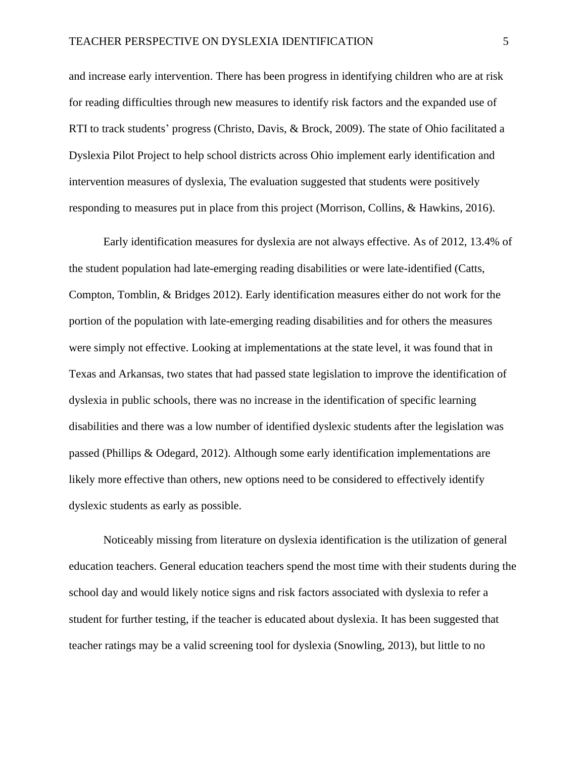and increase early intervention. There has been progress in identifying children who are at risk for reading difficulties through new measures to identify risk factors and the expanded use of RTI to track students' progress (Christo, Davis, & Brock, 2009). The state of Ohio facilitated a Dyslexia Pilot Project to help school districts across Ohio implement early identification and intervention measures of dyslexia, The evaluation suggested that students were positively responding to measures put in place from this project (Morrison, Collins, & Hawkins, 2016).

Early identification measures for dyslexia are not always effective. As of 2012, 13.4% of the student population had late-emerging reading disabilities or were late-identified (Catts, Compton, Tomblin, & Bridges 2012). Early identification measures either do not work for the portion of the population with late-emerging reading disabilities and for others the measures were simply not effective. Looking at implementations at the state level, it was found that in Texas and Arkansas, two states that had passed state legislation to improve the identification of dyslexia in public schools, there was no increase in the identification of specific learning disabilities and there was a low number of identified dyslexic students after the legislation was passed (Phillips & Odegard, 2012). Although some early identification implementations are likely more effective than others, new options need to be considered to effectively identify dyslexic students as early as possible.

Noticeably missing from literature on dyslexia identification is the utilization of general education teachers. General education teachers spend the most time with their students during the school day and would likely notice signs and risk factors associated with dyslexia to refer a student for further testing, if the teacher is educated about dyslexia. It has been suggested that teacher ratings may be a valid screening tool for dyslexia (Snowling, 2013), but little to no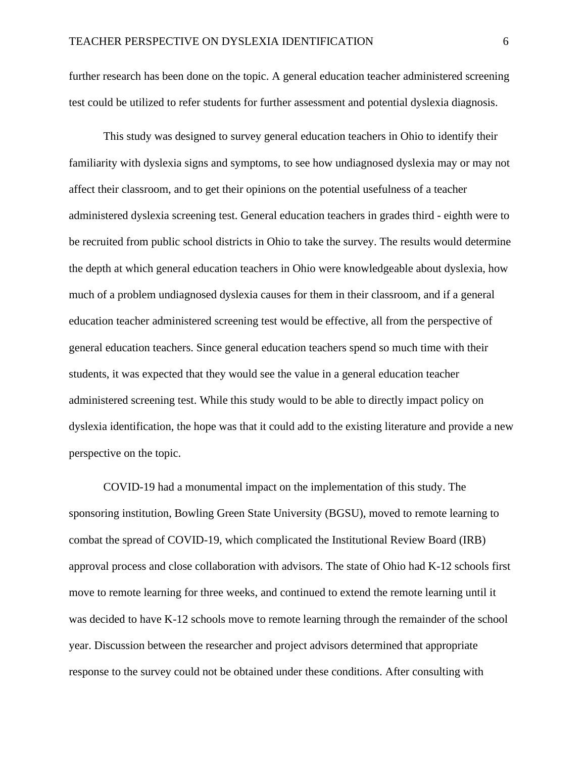further research has been done on the topic. A general education teacher administered screening test could be utilized to refer students for further assessment and potential dyslexia diagnosis.

This study was designed to survey general education teachers in Ohio to identify their familiarity with dyslexia signs and symptoms, to see how undiagnosed dyslexia may or may not affect their classroom, and to get their opinions on the potential usefulness of a teacher administered dyslexia screening test. General education teachers in grades third - eighth were to be recruited from public school districts in Ohio to take the survey. The results would determine the depth at which general education teachers in Ohio were knowledgeable about dyslexia, how much of a problem undiagnosed dyslexia causes for them in their classroom, and if a general education teacher administered screening test would be effective, all from the perspective of general education teachers. Since general education teachers spend so much time with their students, it was expected that they would see the value in a general education teacher administered screening test. While this study would to be able to directly impact policy on dyslexia identification, the hope was that it could add to the existing literature and provide a new perspective on the topic.

COVID-19 had a monumental impact on the implementation of this study. The sponsoring institution, Bowling Green State University (BGSU), moved to remote learning to combat the spread of COVID-19, which complicated the Institutional Review Board (IRB) approval process and close collaboration with advisors. The state of Ohio had K-12 schools first move to remote learning for three weeks, and continued to extend the remote learning until it was decided to have K-12 schools move to remote learning through the remainder of the school year. Discussion between the researcher and project advisors determined that appropriate response to the survey could not be obtained under these conditions. After consulting with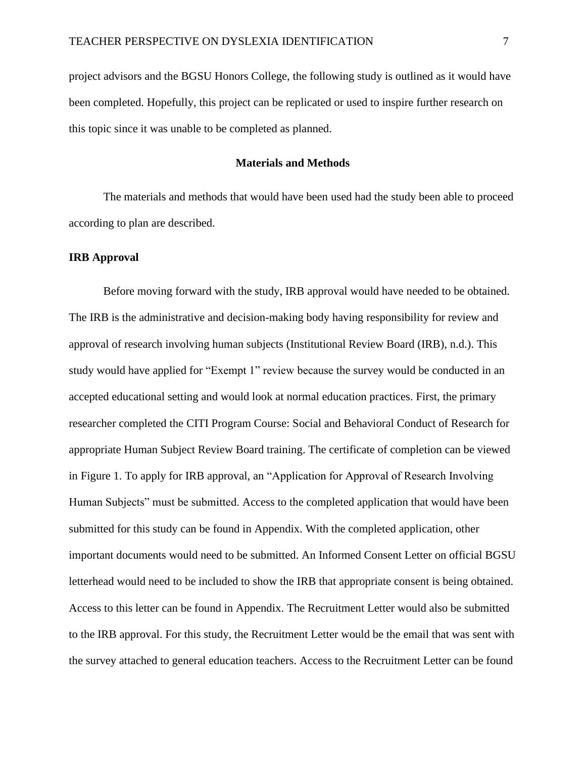project advisors and the BGSU Honors College, the following study is outlined as it would have been completed. Hopefully, this project can be replicated or used to inspire further research on this topic since it was unable to be completed as planned.

## **Materials and Methods**

The materials and methods that would have been used had the study been able to proceed according to plan are described.

### **IRB Approval**

Before moving forward with the study, IRB approval would have needed to be obtained. The IRB is the administrative and decision-making body having responsibility for review and approval of research involving human subjects (Institutional Review Board (IRB), n.d.). This study would have applied for "Exempt 1" review because the survey would be conducted in an accepted educational setting and would look at normal education practices. First, the primary researcher completed the CITI Program Course: Social and Behavioral Conduct of Research for appropriate Human Subject Review Board training. The certificate of completion can be viewed in Figure 1. To apply for IRB approval, an "Application for Approval of Research Involving Human Subjects" must be submitted. Access to the completed application that would have been submitted for this study can be found in Appendix. With the completed application, other important documents would need to be submitted. An Informed Consent Letter on official BGSU letterhead would need to be included to show the IRB that appropriate consent is being obtained. Access to this letter can be found in Appendix. The Recruitment Letter would also be submitted to the IRB approval. For this study, the Recruitment Letter would be the email that was sent with the survey attached to general education teachers. Access to the Recruitment Letter can be found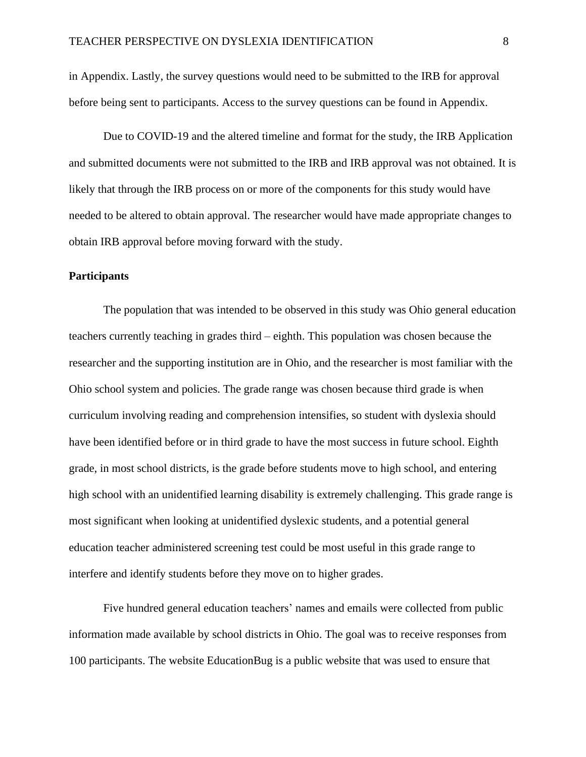in Appendix. Lastly, the survey questions would need to be submitted to the IRB for approval before being sent to participants. Access to the survey questions can be found in Appendix.

Due to COVID-19 and the altered timeline and format for the study, the IRB Application and submitted documents were not submitted to the IRB and IRB approval was not obtained. It is likely that through the IRB process on or more of the components for this study would have needed to be altered to obtain approval. The researcher would have made appropriate changes to obtain IRB approval before moving forward with the study.

# **Participants**

The population that was intended to be observed in this study was Ohio general education teachers currently teaching in grades third – eighth. This population was chosen because the researcher and the supporting institution are in Ohio, and the researcher is most familiar with the Ohio school system and policies. The grade range was chosen because third grade is when curriculum involving reading and comprehension intensifies, so student with dyslexia should have been identified before or in third grade to have the most success in future school. Eighth grade, in most school districts, is the grade before students move to high school, and entering high school with an unidentified learning disability is extremely challenging. This grade range is most significant when looking at unidentified dyslexic students, and a potential general education teacher administered screening test could be most useful in this grade range to interfere and identify students before they move on to higher grades.

Five hundred general education teachers' names and emails were collected from public information made available by school districts in Ohio. The goal was to receive responses from 100 participants. The website EducationBug is a public website that was used to ensure that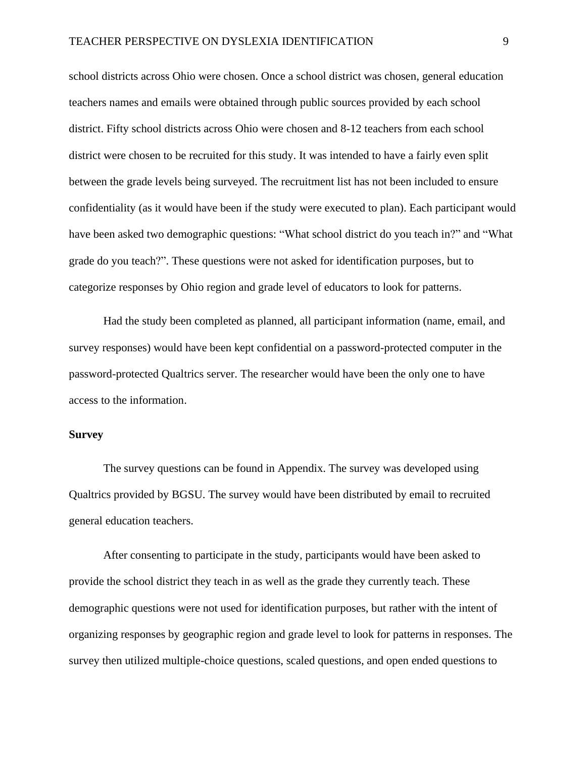school districts across Ohio were chosen. Once a school district was chosen, general education teachers names and emails were obtained through public sources provided by each school district. Fifty school districts across Ohio were chosen and 8-12 teachers from each school district were chosen to be recruited for this study. It was intended to have a fairly even split between the grade levels being surveyed. The recruitment list has not been included to ensure confidentiality (as it would have been if the study were executed to plan). Each participant would have been asked two demographic questions: "What school district do you teach in?" and "What grade do you teach?". These questions were not asked for identification purposes, but to categorize responses by Ohio region and grade level of educators to look for patterns.

Had the study been completed as planned, all participant information (name, email, and survey responses) would have been kept confidential on a password-protected computer in the password-protected Qualtrics server. The researcher would have been the only one to have access to the information.

#### **Survey**

The survey questions can be found in Appendix. The survey was developed using Qualtrics provided by BGSU. The survey would have been distributed by email to recruited general education teachers.

After consenting to participate in the study, participants would have been asked to provide the school district they teach in as well as the grade they currently teach. These demographic questions were not used for identification purposes, but rather with the intent of organizing responses by geographic region and grade level to look for patterns in responses. The survey then utilized multiple-choice questions, scaled questions, and open ended questions to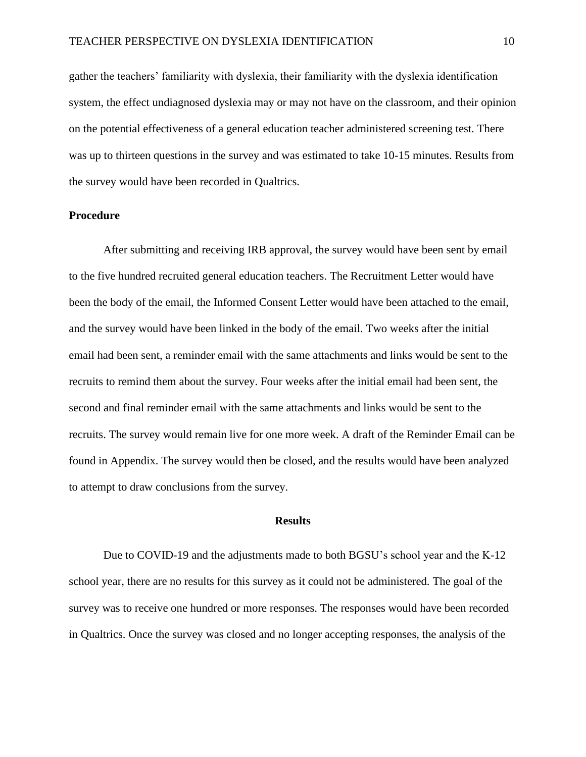gather the teachers' familiarity with dyslexia, their familiarity with the dyslexia identification system, the effect undiagnosed dyslexia may or may not have on the classroom, and their opinion on the potential effectiveness of a general education teacher administered screening test. There was up to thirteen questions in the survey and was estimated to take 10-15 minutes. Results from the survey would have been recorded in Qualtrics.

# **Procedure**

After submitting and receiving IRB approval, the survey would have been sent by email to the five hundred recruited general education teachers. The Recruitment Letter would have been the body of the email, the Informed Consent Letter would have been attached to the email, and the survey would have been linked in the body of the email. Two weeks after the initial email had been sent, a reminder email with the same attachments and links would be sent to the recruits to remind them about the survey. Four weeks after the initial email had been sent, the second and final reminder email with the same attachments and links would be sent to the recruits. The survey would remain live for one more week. A draft of the Reminder Email can be found in Appendix. The survey would then be closed, and the results would have been analyzed to attempt to draw conclusions from the survey.

# **Results**

Due to COVID-19 and the adjustments made to both BGSU's school year and the K-12 school year, there are no results for this survey as it could not be administered. The goal of the survey was to receive one hundred or more responses. The responses would have been recorded in Qualtrics. Once the survey was closed and no longer accepting responses, the analysis of the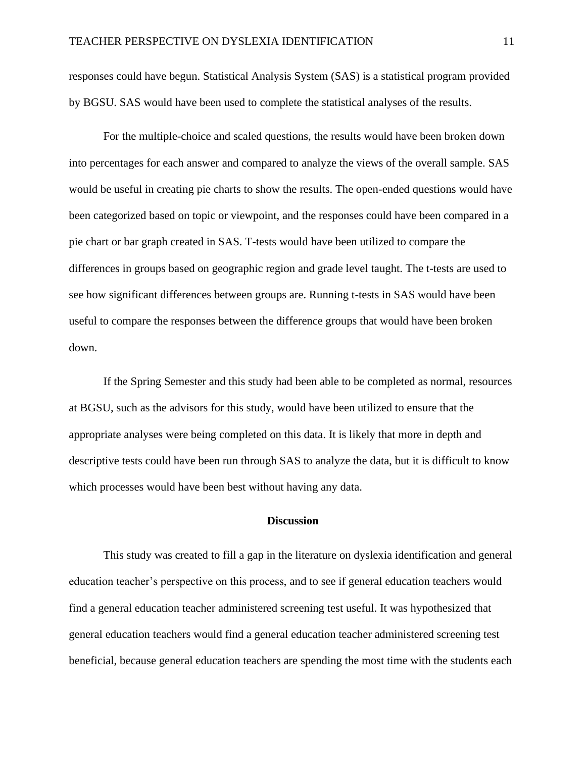responses could have begun. Statistical Analysis System (SAS) is a statistical program provided by BGSU. SAS would have been used to complete the statistical analyses of the results.

For the multiple-choice and scaled questions, the results would have been broken down into percentages for each answer and compared to analyze the views of the overall sample. SAS would be useful in creating pie charts to show the results. The open-ended questions would have been categorized based on topic or viewpoint, and the responses could have been compared in a pie chart or bar graph created in SAS. T-tests would have been utilized to compare the differences in groups based on geographic region and grade level taught. The t-tests are used to see how significant differences between groups are. Running t-tests in SAS would have been useful to compare the responses between the difference groups that would have been broken down.

If the Spring Semester and this study had been able to be completed as normal, resources at BGSU, such as the advisors for this study, would have been utilized to ensure that the appropriate analyses were being completed on this data. It is likely that more in depth and descriptive tests could have been run through SAS to analyze the data, but it is difficult to know which processes would have been best without having any data.

# **Discussion**

This study was created to fill a gap in the literature on dyslexia identification and general education teacher's perspective on this process, and to see if general education teachers would find a general education teacher administered screening test useful. It was hypothesized that general education teachers would find a general education teacher administered screening test beneficial, because general education teachers are spending the most time with the students each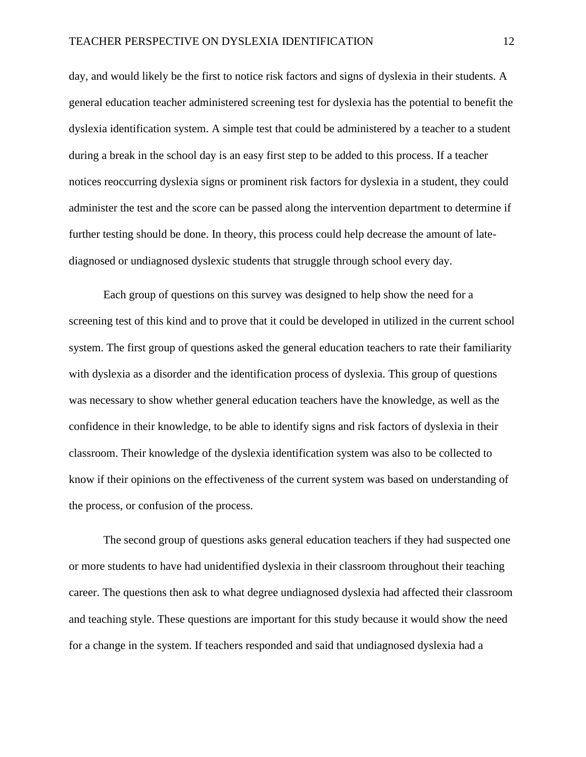day, and would likely be the first to notice risk factors and signs of dyslexia in their students. A general education teacher administered screening test for dyslexia has the potential to benefit the dyslexia identification system. A simple test that could be administered by a teacher to a student during a break in the school day is an easy first step to be added to this process. If a teacher notices reoccurring dyslexia signs or prominent risk factors for dyslexia in a student, they could administer the test and the score can be passed along the intervention department to determine if further testing should be done. In theory, this process could help decrease the amount of latediagnosed or undiagnosed dyslexic students that struggle through school every day.

Each group of questions on this survey was designed to help show the need for a screening test of this kind and to prove that it could be developed in utilized in the current school system. The first group of questions asked the general education teachers to rate their familiarity with dyslexia as a disorder and the identification process of dyslexia. This group of questions was necessary to show whether general education teachers have the knowledge, as well as the confidence in their knowledge, to be able to identify signs and risk factors of dyslexia in their classroom. Their knowledge of the dyslexia identification system was also to be collected to know if their opinions on the effectiveness of the current system was based on understanding of the process, or confusion of the process.

The second group of questions asks general education teachers if they had suspected one or more students to have had unidentified dyslexia in their classroom throughout their teaching career. The questions then ask to what degree undiagnosed dyslexia had affected their classroom and teaching style. These questions are important for this study because it would show the need for a change in the system. If teachers responded and said that undiagnosed dyslexia had a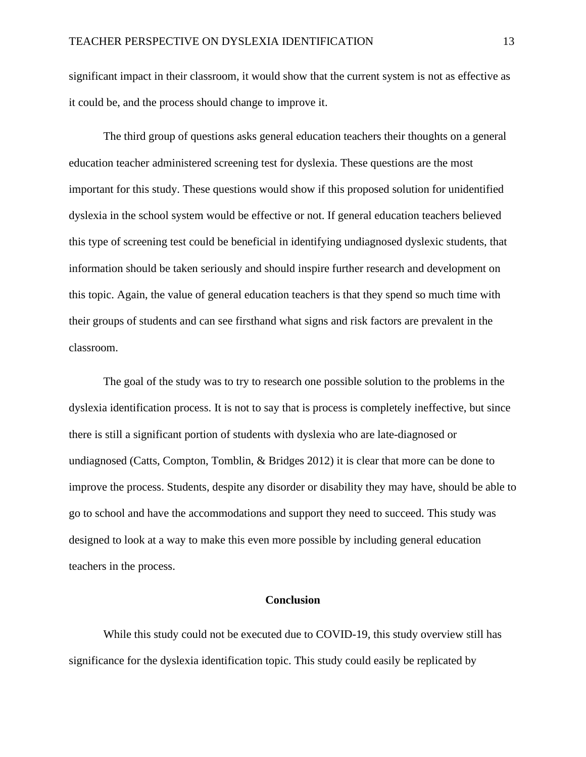significant impact in their classroom, it would show that the current system is not as effective as it could be, and the process should change to improve it.

The third group of questions asks general education teachers their thoughts on a general education teacher administered screening test for dyslexia. These questions are the most important for this study. These questions would show if this proposed solution for unidentified dyslexia in the school system would be effective or not. If general education teachers believed this type of screening test could be beneficial in identifying undiagnosed dyslexic students, that information should be taken seriously and should inspire further research and development on this topic. Again, the value of general education teachers is that they spend so much time with their groups of students and can see firsthand what signs and risk factors are prevalent in the classroom.

The goal of the study was to try to research one possible solution to the problems in the dyslexia identification process. It is not to say that is process is completely ineffective, but since there is still a significant portion of students with dyslexia who are late-diagnosed or undiagnosed (Catts, Compton, Tomblin, & Bridges 2012) it is clear that more can be done to improve the process. Students, despite any disorder or disability they may have, should be able to go to school and have the accommodations and support they need to succeed. This study was designed to look at a way to make this even more possible by including general education teachers in the process.

#### **Conclusion**

While this study could not be executed due to COVID-19, this study overview still has significance for the dyslexia identification topic. This study could easily be replicated by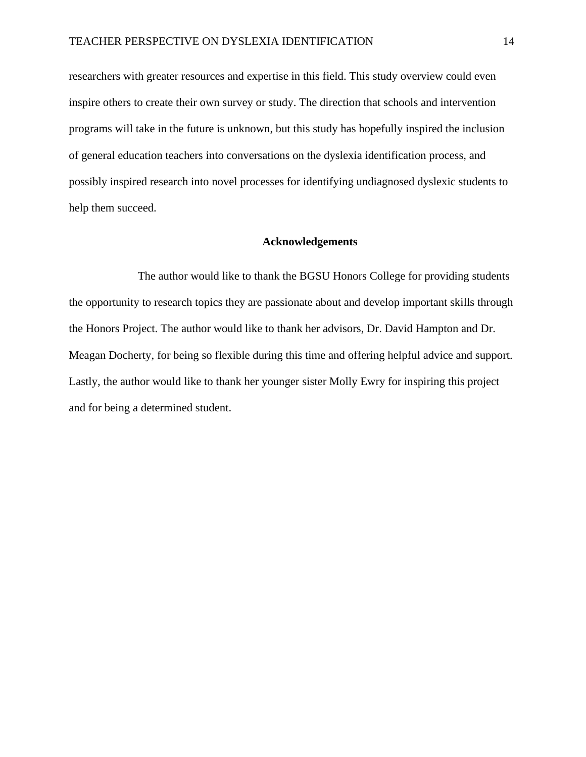researchers with greater resources and expertise in this field. This study overview could even inspire others to create their own survey or study. The direction that schools and intervention programs will take in the future is unknown, but this study has hopefully inspired the inclusion of general education teachers into conversations on the dyslexia identification process, and possibly inspired research into novel processes for identifying undiagnosed dyslexic students to help them succeed.

#### **Acknowledgements**

The author would like to thank the BGSU Honors College for providing students the opportunity to research topics they are passionate about and develop important skills through the Honors Project. The author would like to thank her advisors, Dr. David Hampton and Dr. Meagan Docherty, for being so flexible during this time and offering helpful advice and support. Lastly, the author would like to thank her younger sister Molly Ewry for inspiring this project and for being a determined student.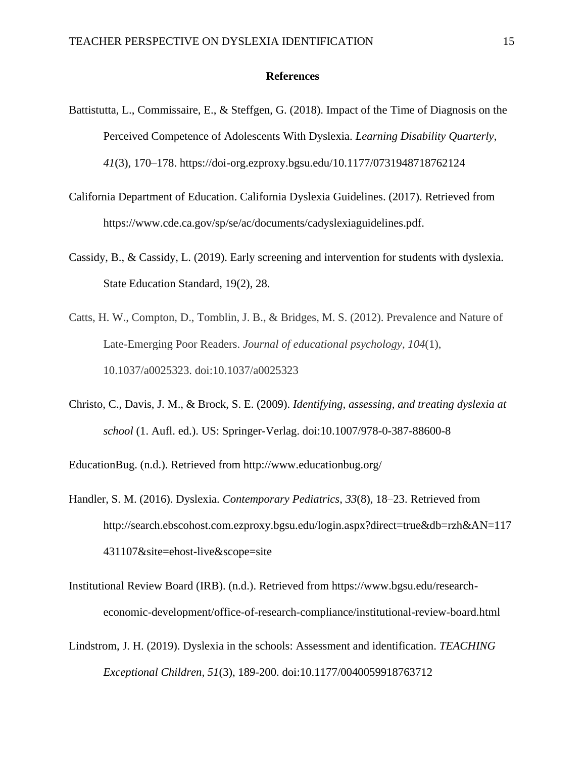### **References**

- Battistutta, L., Commissaire, E., & Steffgen, G. (2018). Impact of the Time of Diagnosis on the Perceived Competence of Adolescents With Dyslexia. *Learning Disability Quarterly*, *41*(3), 170–178. https://doi-org.ezproxy.bgsu.edu/10.1177/0731948718762124
- California Department of Education. California Dyslexia Guidelines. (2017). Retrieved from https://www.cde.ca.gov/sp/se/ac/documents/cadyslexiaguidelines.pdf.
- Cassidy, B., & Cassidy, L. (2019). Early screening and intervention for students with dyslexia. State Education Standard, 19(2), 28.
- Catts, H. W., Compton, D., Tomblin, J. B., & Bridges, M. S. (2012). Prevalence and Nature of Late-Emerging Poor Readers. *Journal of educational psychology*, *104*(1), 10.1037/a0025323. doi:10.1037/a0025323
- Christo, C., Davis, J. M., & Brock, S. E. (2009). *Identifying, assessing, and treating dyslexia at school* (1. Aufl. ed.). US: Springer-Verlag. doi:10.1007/978-0-387-88600-8

EducationBug. (n.d.). Retrieved from http://www.educationbug.org/

- Handler, S. M. (2016). Dyslexia. *Contemporary Pediatrics*, *33*(8), 18–23. Retrieved from http://search.ebscohost.com.ezproxy.bgsu.edu/login.aspx?direct=true&db=rzh&AN=117 431107&site=ehost-live&scope=site
- Institutional Review Board (IRB). (n.d.). Retrieved from https://www.bgsu.edu/researcheconomic-development/office-of-research-compliance/institutional-review-board.html
- Lindstrom, J. H. (2019). Dyslexia in the schools: Assessment and identification. *TEACHING Exceptional Children, 51*(3), 189-200. doi:10.1177/0040059918763712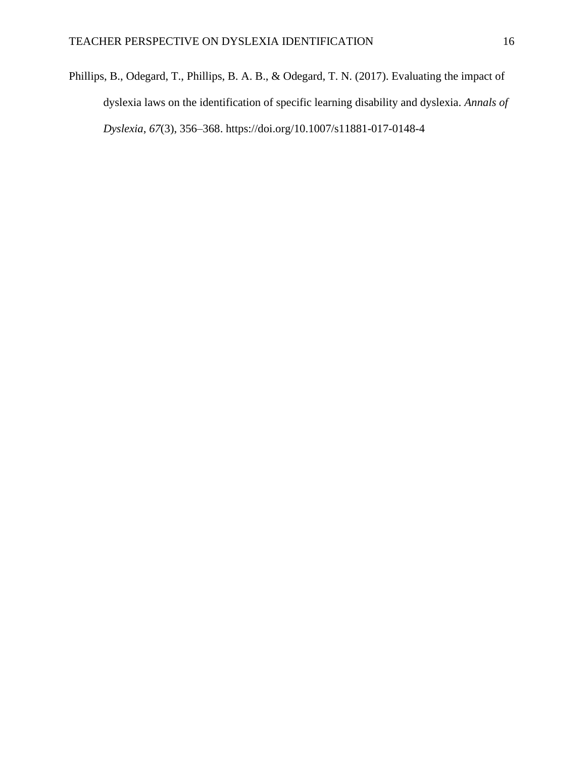Phillips, B., Odegard, T., Phillips, B. A. B., & Odegard, T. N. (2017). Evaluating the impact of dyslexia laws on the identification of specific learning disability and dyslexia. *Annals of Dyslexia*, *67*(3), 356–368. https://doi.org/10.1007/s11881-017-0148-4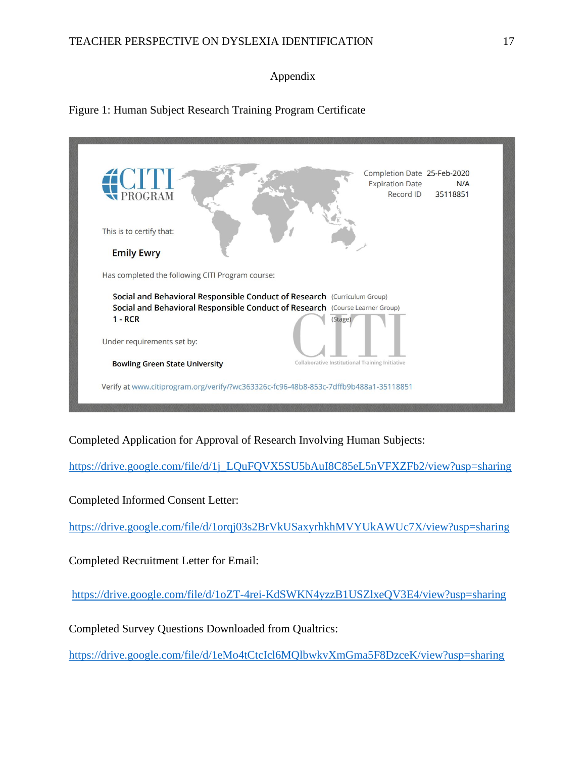# Appendix

Figure 1: Human Subject Research Training Program Certificate

| <b>EXPROGRAM</b><br>This is to certify that:<br><b>Emily Ewry</b>                                                                                                               | Completion Date 25-Feb-2020<br><b>Expiration Date</b><br>N/A<br>Record ID<br>35118851 |
|---------------------------------------------------------------------------------------------------------------------------------------------------------------------------------|---------------------------------------------------------------------------------------|
| Has completed the following CITI Program course:                                                                                                                                |                                                                                       |
| Social and Behavioral Responsible Conduct of Research (Curriculum Group)<br>Social and Behavioral Responsible Conduct of Research (Course Learner Group)<br>$1 - RCR$<br>Stage) |                                                                                       |
| Under requirements set by:                                                                                                                                                      |                                                                                       |
| <b>Bowling Green State University</b>                                                                                                                                           | Collaborative Institutional Training Initiative                                       |
| Verify at www.citiprogram.org/verify/?wc363326c-fc96-48b8-853c-7dffb9b488a1-35118851                                                                                            |                                                                                       |

Completed Application for Approval of Research Involving Human Subjects:

[https://drive.google.com/file/d/1j\\_LQuFQVX5SU5bAuI8C85eL5nVFXZFb2/view?usp=sharing](https://drive.google.com/file/d/1j_LQuFQVX5SU5bAuI8C85eL5nVFXZFb2/view?usp=sharing)

Completed Informed Consent Letter:

<https://drive.google.com/file/d/1orqj03s2BrVkUSaxyrhkhMVYUkAWUc7X/view?usp=sharing>

Completed Recruitment Letter for Email:

<https://drive.google.com/file/d/1oZT-4rei-KdSWKN4yzzB1USZlxeQV3E4/view?usp=sharing>

Completed Survey Questions Downloaded from Qualtrics:

<https://drive.google.com/file/d/1eMo4tCtcIcl6MQlbwkvXmGma5F8DzceK/view?usp=sharing>